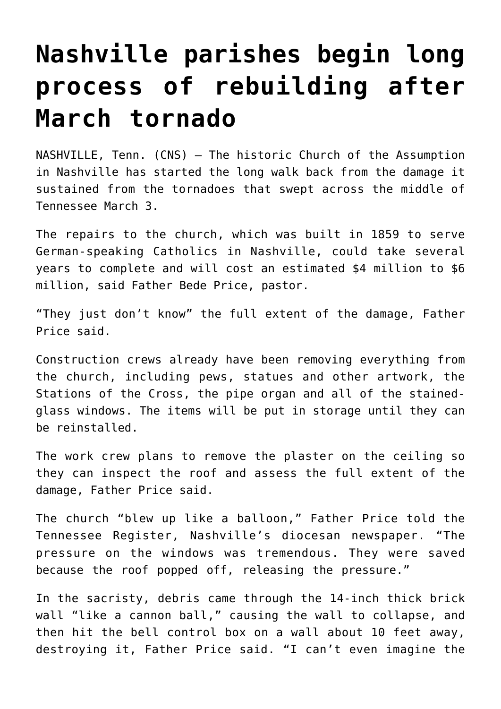## **[Nashville parishes begin long](https://www.osvnewsweekly.net/2020/05/13/nashville-parishes-begin-long-process-of-rebuilding-after-march-tornado/) [process of rebuilding after](https://www.osvnewsweekly.net/2020/05/13/nashville-parishes-begin-long-process-of-rebuilding-after-march-tornado/) [March tornado](https://www.osvnewsweekly.net/2020/05/13/nashville-parishes-begin-long-process-of-rebuilding-after-march-tornado/)**

NASHVILLE, Tenn. (CNS) — The historic Church of the Assumption in Nashville has started the long walk back from the damage it sustained from the tornadoes that swept across the middle of Tennessee March 3.

The repairs to the church, which was built in 1859 to serve German-speaking Catholics in Nashville, could take several years to complete and will cost an estimated \$4 million to \$6 million, said Father Bede Price, pastor.

"They just don't know" the full extent of the damage, Father Price said.

Construction crews already have been removing everything from the church, including pews, statues and other artwork, the Stations of the Cross, the pipe organ and all of the stainedglass windows. The items will be put in storage until they can be reinstalled.

The work crew plans to remove the plaster on the ceiling so they can inspect the roof and assess the full extent of the damage, Father Price said.

The church "blew up like a balloon," Father Price told the Tennessee Register, Nashville's diocesan newspaper. "The pressure on the windows was tremendous. They were saved because the roof popped off, releasing the pressure."

In the sacristy, debris came through the 14-inch thick brick wall "like a cannon ball," causing the wall to collapse, and then hit the bell control box on a wall about 10 feet away, destroying it, Father Price said. "I can't even imagine the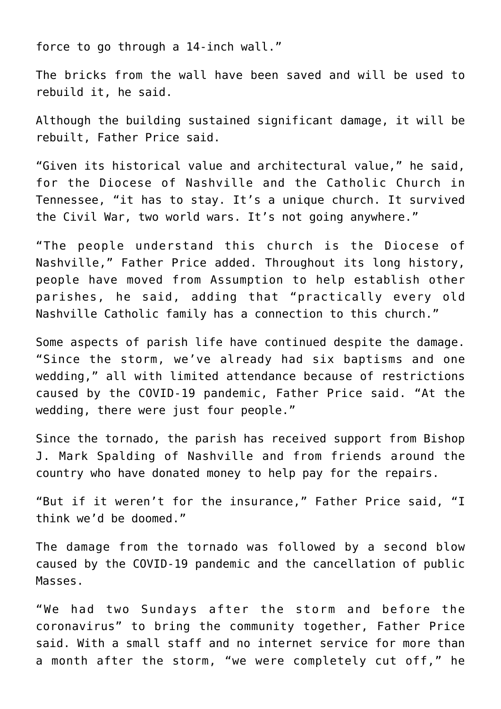force to go through a 14-inch wall."

The bricks from the wall have been saved and will be used to rebuild it, he said.

Although the building sustained significant damage, it will be rebuilt, Father Price said.

"Given its historical value and architectural value," he said, for the Diocese of Nashville and the Catholic Church in Tennessee, "it has to stay. It's a unique church. It survived the Civil War, two world wars. It's not going anywhere."

"The people understand this church is the Diocese of Nashville," Father Price added. Throughout its long history, people have moved from Assumption to help establish other parishes, he said, adding that "practically every old Nashville Catholic family has a connection to this church."

Some aspects of parish life have continued despite the damage. "Since the storm, we've already had six baptisms and one wedding," all with limited attendance because of restrictions caused by the COVID-19 pandemic, Father Price said. "At the wedding, there were just four people."

Since the tornado, the parish has received support from Bishop J. Mark Spalding of Nashville and from friends around the country who have donated money to help pay for the repairs.

"But if it weren't for the insurance," Father Price said, "I think we'd be doomed."

The damage from the tornado was followed by a second blow caused by the COVID-19 pandemic and the cancellation of public Masses.

"We had two Sundays after the storm and before the coronavirus" to bring the community together, Father Price said. With a small staff and no internet service for more than a month after the storm, "we were completely cut off," he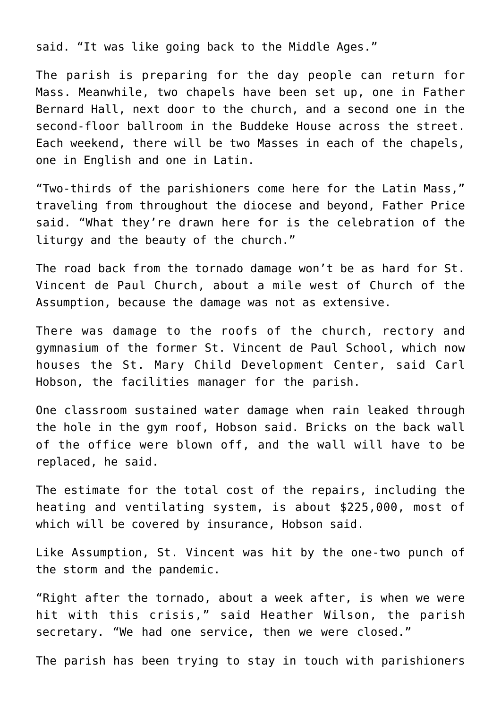said. "It was like going back to the Middle Ages."

The parish is preparing for the day people can return for Mass. Meanwhile, two chapels have been set up, one in Father Bernard Hall, next door to the church, and a second one in the second-floor ballroom in the Buddeke House across the street. Each weekend, there will be two Masses in each of the chapels, one in English and one in Latin.

"Two-thirds of the parishioners come here for the Latin Mass," traveling from throughout the diocese and beyond, Father Price said. "What they're drawn here for is the celebration of the liturgy and the beauty of the church."

The road back from the tornado damage won't be as hard for St. Vincent de Paul Church, about a mile west of Church of the Assumption, because the damage was not as extensive.

There was damage to the roofs of the church, rectory and gymnasium of the former St. Vincent de Paul School, which now houses the St. Mary Child Development Center, said Carl Hobson, the facilities manager for the parish.

One classroom sustained water damage when rain leaked through the hole in the gym roof, Hobson said. Bricks on the back wall of the office were blown off, and the wall will have to be replaced, he said.

The estimate for the total cost of the repairs, including the heating and ventilating system, is about \$225,000, most of which will be covered by insurance, Hobson said.

Like Assumption, St. Vincent was hit by the one-two punch of the storm and the pandemic.

"Right after the tornado, about a week after, is when we were hit with this crisis," said Heather Wilson, the parish secretary. "We had one service, then we were closed."

The parish has been trying to stay in touch with parishioners